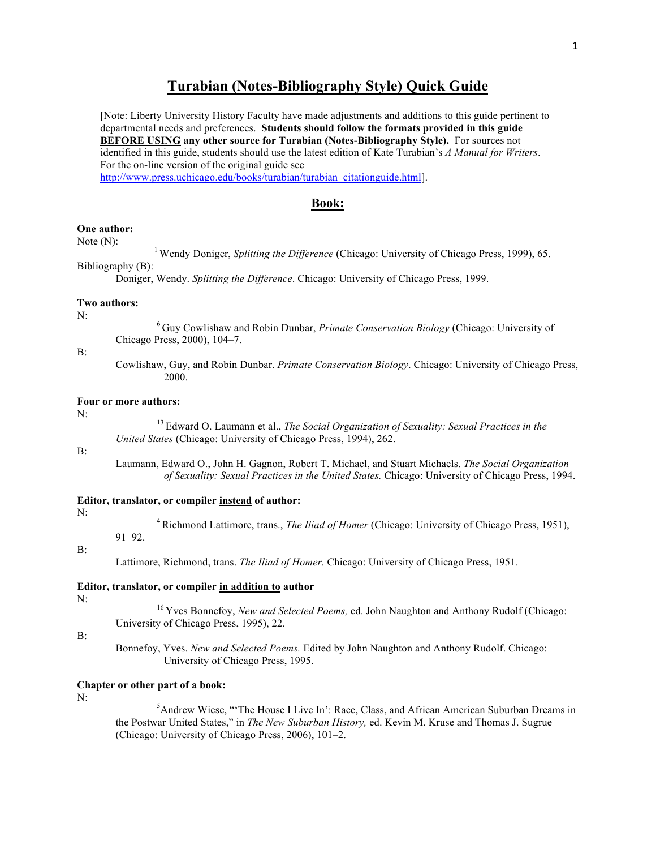# **Turabian (Notes-Bibliography Style) Quick Guide**

[Note: Liberty University History Faculty have made adjustments and additions to this guide pertinent to departmental needs and preferences. **Students should follow the formats provided in this guide BEFORE USING any other source for Turabian (Notes-Bibliography Style).** For sources not identified in this guide, students should use the latest edition of Kate Turabian's *A Manual for Writers*. For the on-line version of the original guide see http://www.press.uchicago.edu/books/turabian/turabian\_citationguide.html].

## **Book:**

# **One author:**

Note (N): <sup>1</sup> Wendy Doniger, *Splitting the Difference* (Chicago: University of Chicago Press, 1999), 65. Bibliography (B):

Doniger, Wendy. *Splitting the Difference*. Chicago: University of Chicago Press, 1999.

### **Two authors:**

N: <sup>6</sup> Guy Cowlishaw and Robin Dunbar, *Primate Conservation Biology* (Chicago: University of Chicago Press, 2000), 104–7.

### B:

Cowlishaw, Guy, and Robin Dunbar. *Primate Conservation Biology*. Chicago: University of Chicago Press, 2000.

# **Four or more authors:**

91–92.

N: <sup>13</sup> Edward O. Laumann et al., *The Social Organization of Sexuality: Sexual Practices in the United States* (Chicago: University of Chicago Press, 1994), 262.

## $\mathbf{B}$

Laumann, Edward O., John H. Gagnon, Robert T. Michael, and Stuart Michaels. *The Social Organization of Sexuality: Sexual Practices in the United States.* Chicago: University of Chicago Press, 1994.

# **Editor, translator, or compiler instead of author:**

N: 4Richmond Lattimore, trans., *The Iliad of Homer* (Chicago: University of Chicago Press, 1951),

# B:

Lattimore, Richmond, trans. *The Iliad of Homer.* Chicago: University of Chicago Press, 1951.

**Editor, translator, or compiler in addition to author**

N: <sup>16</sup> Yves Bonnefoy, *New and Selected Poems,* ed. John Naughton and Anthony Rudolf (Chicago: University of Chicago Press, 1995), 22.

B:

Bonnefoy, Yves. *New and Selected Poems.* Edited by John Naughton and Anthony Rudolf. Chicago: University of Chicago Press, 1995.

# **Chapter or other part of a book:**

 $N:$  5 <sup>5</sup>Andrew Wiese, "The House I Live In': Race, Class, and African American Suburban Dreams in the Postwar United States," in *The New Suburban History,* ed. Kevin M. Kruse and Thomas J. Sugrue (Chicago: University of Chicago Press, 2006), 101–2.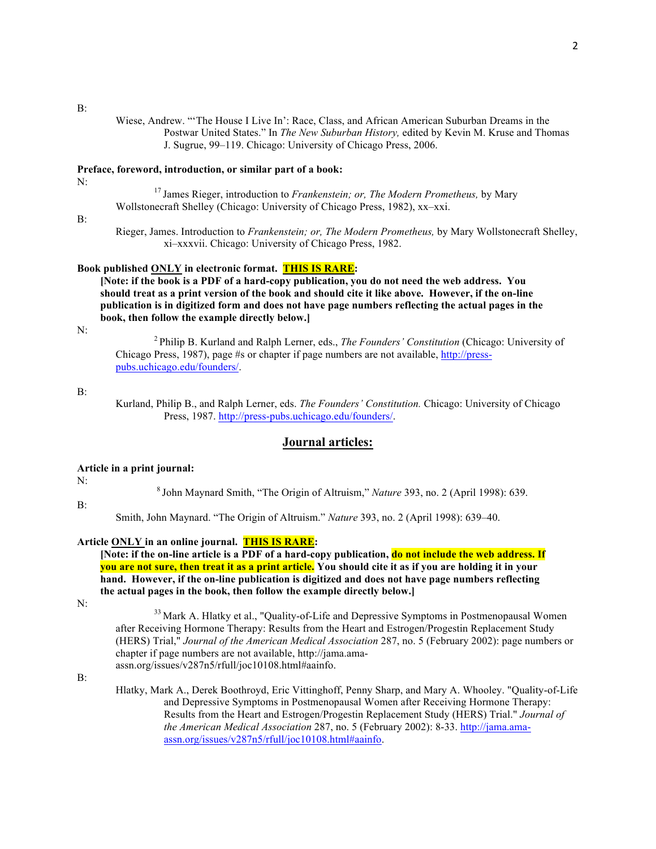B:

Wiese, Andrew. "'The House I Live In': Race, Class, and African American Suburban Dreams in the Postwar United States." In *The New Suburban History,* edited by Kevin M. Kruse and Thomas J. Sugrue, 99–119. Chicago: University of Chicago Press, 2006.

**Preface, foreword, introduction, or similar part of a book:**

N: <sup>17</sup> James Rieger, introduction to *Frankenstein; or, The Modern Prometheus,* by Mary Wollstonecraft Shelley (Chicago: University of Chicago Press, 1982), xx–xxi.

B:

Rieger, James. Introduction to *Frankenstein; or, The Modern Prometheus,* by Mary Wollstonecraft Shelley, xi–xxxvii. Chicago: University of Chicago Press, 1982.

## **Book published ONLY in electronic format. THIS IS RARE:**

**[Note: if the book is a PDF of a hard-copy publication, you do not need the web address. You should treat as a print version of the book and should cite it like above. However, if the on-line publication is in digitized form and does not have page numbers reflecting the actual pages in the book, then follow the example directly below.]**

N: <sup>2</sup> Philip B. Kurland and Ralph Lerner, eds., *The Founders' Constitution* (Chicago: University of Chicago Press, 1987), page #s or chapter if page numbers are not available, http://presspubs.uchicago.edu/founders/.

## B:

Kurland, Philip B., and Ralph Lerner, eds. *The Founders' Constitution.* Chicago: University of Chicago Press, 1987. http://press-pubs.uchicago.edu/founders/.

# **Journal articles:**

**Article in a print journal:**

B:

N: <sup>8</sup> John Maynard Smith, "The Origin of Altruism," *Nature* 393, no. 2 (April 1998): 639.

Smith, John Maynard. "The Origin of Altruism." *Nature* 393, no. 2 (April 1998): 639–40.

## **Article ONLY in an online journal. THIS IS RARE:**

**[Note: if the on-line article is a PDF of a hard-copy publication, do not include the web address. If you are not sure, then treat it as a print article. You should cite it as if you are holding it in your hand. However, if the on-line publication is digitized and does not have page numbers reflecting the actual pages in the book, then follow the example directly below.]**

N: 33 Mark A. Hlatky et al., "Quality-of-Life and Depressive Symptoms in Postmenopausal Women after Receiving Hormone Therapy: Results from the Heart and Estrogen/Progestin Replacement Study (HERS) Trial," *Journal of the American Medical Association* 287, no. 5 (February 2002): page numbers or chapter if page numbers are not available, http://jama.amaassn.org/issues/v287n5/rfull/joc10108.html#aainfo.

B:

Hlatky, Mark A., Derek Boothroyd, Eric Vittinghoff, Penny Sharp, and Mary A. Whooley. "Quality-of-Life and Depressive Symptoms in Postmenopausal Women after Receiving Hormone Therapy: Results from the Heart and Estrogen/Progestin Replacement Study (HERS) Trial." *Journal of the American Medical Association* 287, no. 5 (February 2002): 8-33. http://jama.amaassn.org/issues/v287n5/rfull/joc10108.html#aainfo.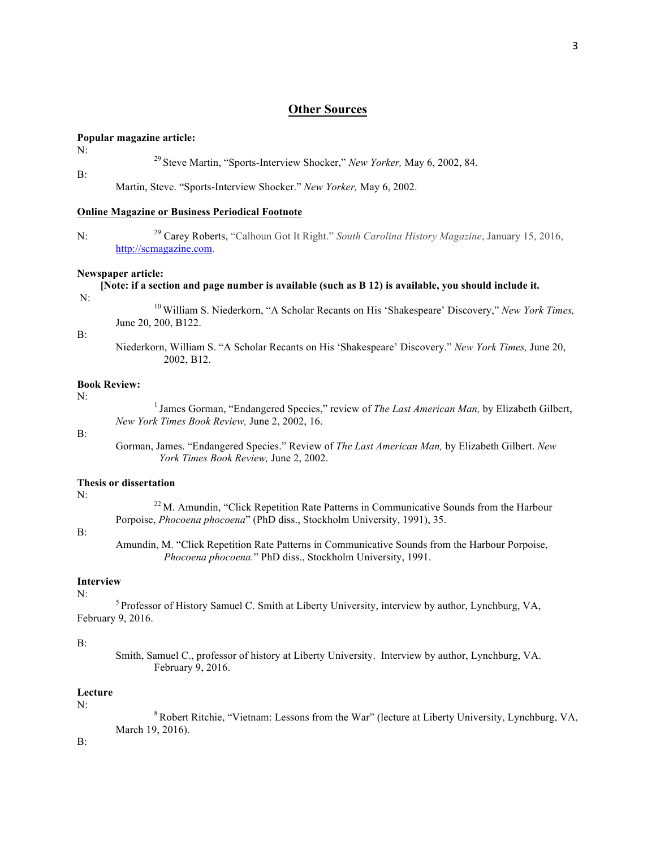# **Other Sources**

# **Popular magazine article:**

N: <sup>29</sup> Steve Martin, "Sports-Interview Shocker," *New Yorker,* May 6, 2002, 84.

B:

Martin, Steve. "Sports-Interview Shocker." *New Yorker,* May 6, 2002.

# **Online Magazine or Business Periodical Footnote**

N: <sup>29</sup> Carey Roberts, "Calhoun Got It Right." *South Carolina History Magazine*, January 15, 2016, http://scmagazine.com.

## **Newspaper article:**

- **[Note: if a section and page number is available (such as B 12) is available, you should include it.**
- 

N: <sup>10</sup> William S. Niederkorn, "A Scholar Recants on His 'Shakespeare' Discovery," *New York Times,* June 20, 200, B122.

B:

Niederkorn, William S. "A Scholar Recants on His 'Shakespeare' Discovery." *New York Times,* June 20, 2002, B12.

## **Book Review:**

N: <sup>1</sup> James Gorman, "Endangered Species," review of *The Last American Man,* by Elizabeth Gilbert, *New York Times Book Review,* June 2, 2002, 16.

### B:

Gorman, James. "Endangered Species." Review of *The Last American Man,* by Elizabeth Gilbert. *New York Times Book Review,* June 2, 2002.

# **Thesis or dissertation**

N: <sup>22</sup> M. Amundin, "Click Repetition Rate Patterns in Communicative Sounds from the Harbour Porpoise, *Phocoena phocoena*" (PhD diss., Stockholm University, 1991), 35.

## B:

Amundin, M. "Click Repetition Rate Patterns in Communicative Sounds from the Harbour Porpoise, *Phocoena phocoena.*" PhD diss., Stockholm University, 1991.

### **Interview**

N:<br><sup>5</sup> Professor of History Samuel C. Smith at Liberty University, interview by author, Lynchburg, VA, February 9, 2016.

## B:

Smith, Samuel C., professor of history at Liberty University. Interview by author, Lynchburg, VA. February 9, 2016.

## **Lecture**

N:<br><sup>8</sup> Robert Ritchie, "Vietnam: Lessons from the War" (lecture at Liberty University, Lynchburg, VA, March 19, 2016).

B: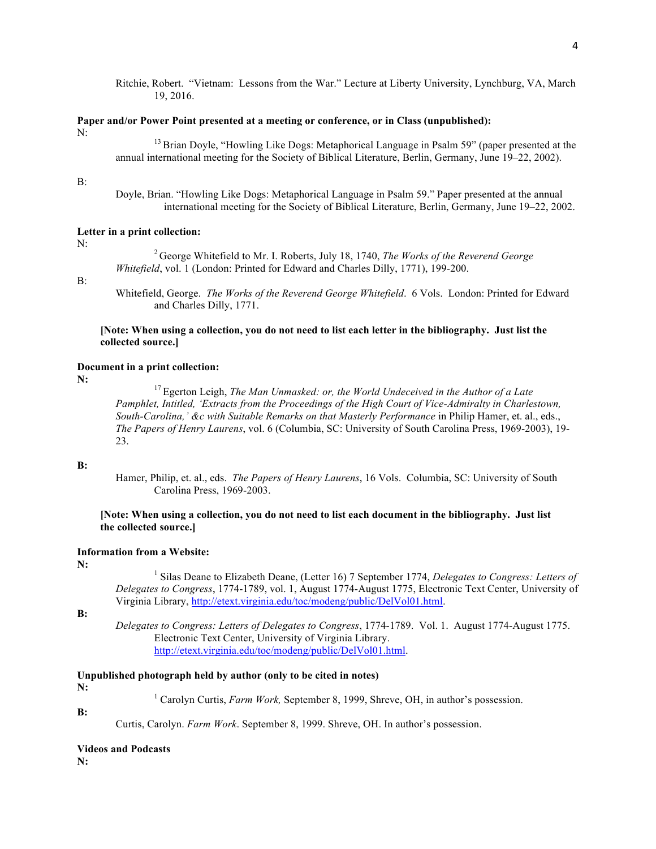Ritchie, Robert. "Vietnam: Lessons from the War." Lecture at Liberty University, Lynchburg, VA, March 19, 2016.

# **Paper and/or Power Point presented at a meeting or conference, or in Class (unpublished):**

N:<br><sup>13</sup>Brian Doyle, "Howling Like Dogs: Metaphorical Language in Psalm 59" (paper presented at the annual international meeting for the Society of Biblical Literature, Berlin, Germany, June 19–22, 2002).

### B:

Doyle, Brian. "Howling Like Dogs: Metaphorical Language in Psalm 59." Paper presented at the annual international meeting for the Society of Biblical Literature, Berlin, Germany, June 19–22, 2002.

## **Letter in a print collection:**

N: <sup>2</sup> George Whitefield to Mr. I. Roberts, July 18, 1740, *The Works of the Reverend George Whitefield*, vol. 1 (London: Printed for Edward and Charles Dilly, 1771), 199-200.

#### B:

Whitefield, George. *The Works of the Reverend George Whitefield*. 6 Vols. London: Printed for Edward and Charles Dilly, 1771.

# **[Note: When using a collection, you do not need to list each letter in the bibliography. Just list the collected source.]**

# **Document in a print collection:**

**N:** <sup>17</sup> Egerton Leigh, *The Man Unmasked: or, the World Undeceived in the Author of a Late Pamphlet, Intitled, 'Extracts from the Proceedings of the High Court of Vice-Admiralty in Charlestown, South-Carolina,' &c with Suitable Remarks on that Masterly Performance* in Philip Hamer, et. al., eds., *The Papers of Henry Laurens*, vol. 6 (Columbia, SC: University of South Carolina Press, 1969-2003), 19- 23.

## **B:**

Hamer, Philip, et. al., eds.*The Papers of Henry Laurens*, 16 Vols. Columbia, SC: University of South Carolina Press, 1969-2003.

# **[Note: When using a collection, you do not need to list each document in the bibliography. Just list the collected source.]**

## **Information from a Website:**

**N:** <sup>1</sup> Silas Deane to Elizabeth Deane, (Letter 16) 7 September 1774, *Delegates to Congress: Letters of Delegates to Congress*, 1774-1789, vol. 1, August 1774-August 1775, Electronic Text Center, University of Virginia Library, http://etext.virginia.edu/toc/modeng/public/DelVol01.html.

**B:** 

*Delegates to Congress: Letters of Delegates to Congress*, 1774-1789. Vol. 1. August 1774-August 1775. Electronic Text Center, University of Virginia Library. http://etext.virginia.edu/toc/modeng/public/DelVol01.html.

# **Unpublished photograph held by author (only to be cited in notes)**

**N:** 1 Carolyn Curtis, *Farm Work*, September 8, 1999, Shreve, OH, in author's possession.

**B:**

Curtis, Carolyn. *Farm Work*. September 8, 1999. Shreve, OH. In author's possession.

**Videos and Podcasts**

**N:**